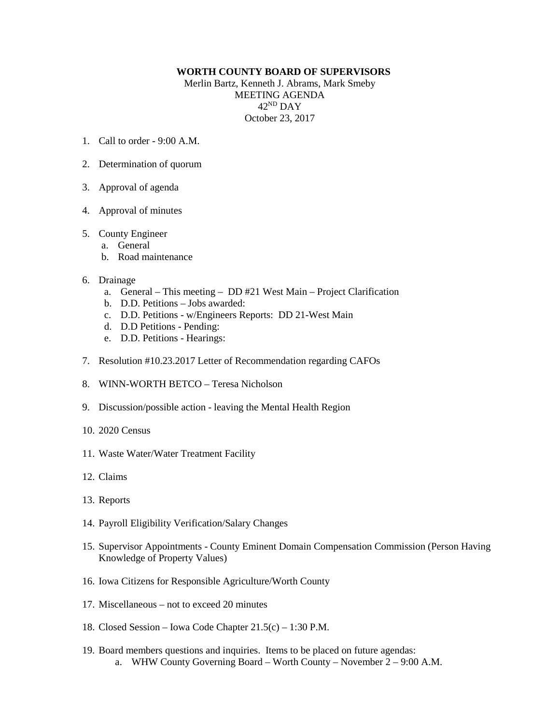## **WORTH COUNTY BOARD OF SUPERVISORS**

Merlin Bartz, Kenneth J. Abrams, Mark Smeby MEETING AGENDA 42ND DAY October 23, 2017

- 1. Call to order 9:00 A.M.
- 2. Determination of quorum
- 3. Approval of agenda
- 4. Approval of minutes

## 5. County Engineer

- a. General
- b. Road maintenance

## 6. Drainage

- a. General This meeting DD #21 West Main Project Clarification
- b. D.D. Petitions Jobs awarded:
- c. D.D. Petitions w/Engineers Reports: DD 21-West Main
- d. D.D Petitions Pending:
- e. D.D. Petitions Hearings:
- 7. Resolution #10.23.2017 Letter of Recommendation regarding CAFOs
- 8. WINN-WORTH BETCO Teresa Nicholson
- 9. Discussion/possible action leaving the Mental Health Region
- 10. 2020 Census
- 11. Waste Water/Water Treatment Facility
- 12. Claims
- 13. Reports
- 14. Payroll Eligibility Verification/Salary Changes
- 15. Supervisor Appointments County Eminent Domain Compensation Commission (Person Having Knowledge of Property Values)
- 16. Iowa Citizens for Responsible Agriculture/Worth County
- 17. Miscellaneous not to exceed 20 minutes
- 18. Closed Session Iowa Code Chapter 21.5(c) 1:30 P.M.
- 19. Board members questions and inquiries. Items to be placed on future agendas: a. WHW County Governing Board – Worth County – November  $2 - 9:00$  A.M.